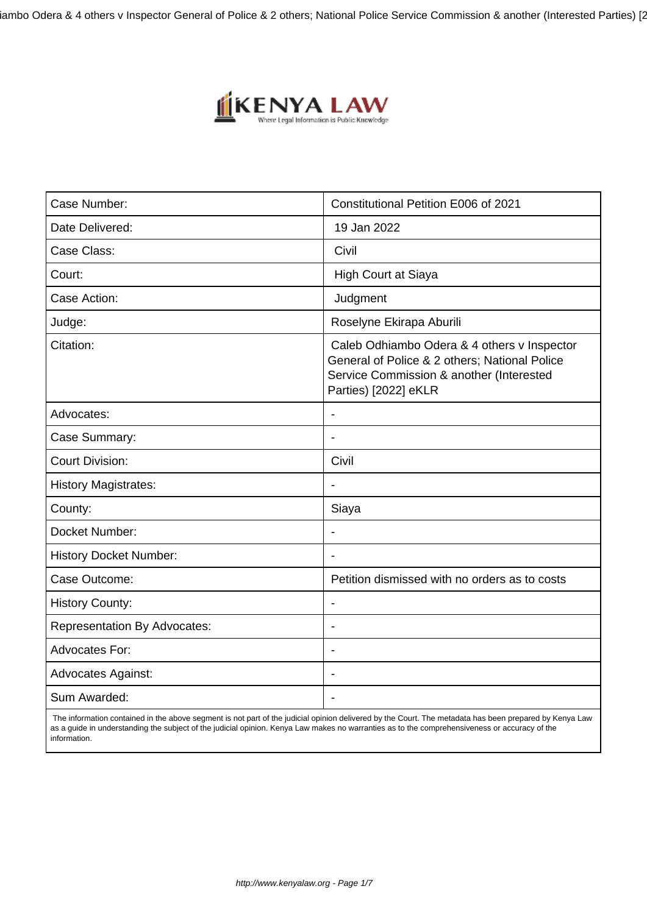iambo Odera & 4 others v Inspector General of Police & 2 others; National Police Service Commission & another (Interested Parties) [2



| Case Number:                        | Constitutional Petition E006 of 2021                                                                                                                             |
|-------------------------------------|------------------------------------------------------------------------------------------------------------------------------------------------------------------|
| Date Delivered:                     | 19 Jan 2022                                                                                                                                                      |
| Case Class:                         | Civil                                                                                                                                                            |
| Court:                              | <b>High Court at Siaya</b>                                                                                                                                       |
| Case Action:                        | Judgment                                                                                                                                                         |
| Judge:                              | Roselyne Ekirapa Aburili                                                                                                                                         |
| Citation:                           | Caleb Odhiambo Odera & 4 others v Inspector<br>General of Police & 2 others; National Police<br>Service Commission & another (Interested<br>Parties) [2022] eKLR |
| Advocates:                          | $\blacksquare$                                                                                                                                                   |
| Case Summary:                       | $\blacksquare$                                                                                                                                                   |
| <b>Court Division:</b>              | Civil                                                                                                                                                            |
| <b>History Magistrates:</b>         | $\overline{\phantom{a}}$                                                                                                                                         |
| County:                             | Siaya                                                                                                                                                            |
| Docket Number:                      | $\blacksquare$                                                                                                                                                   |
| <b>History Docket Number:</b>       |                                                                                                                                                                  |
| Case Outcome:                       | Petition dismissed with no orders as to costs                                                                                                                    |
| <b>History County:</b>              | $\overline{\phantom{a}}$                                                                                                                                         |
| <b>Representation By Advocates:</b> | $\blacksquare$                                                                                                                                                   |
| <b>Advocates For:</b>               | $\overline{\phantom{a}}$                                                                                                                                         |
| <b>Advocates Against:</b>           |                                                                                                                                                                  |
| Sum Awarded:                        |                                                                                                                                                                  |

 The information contained in the above segment is not part of the judicial opinion delivered by the Court. The metadata has been prepared by Kenya Law as a guide in understanding the subject of the judicial opinion. Kenya Law makes no warranties as to the comprehensiveness or accuracy of the information.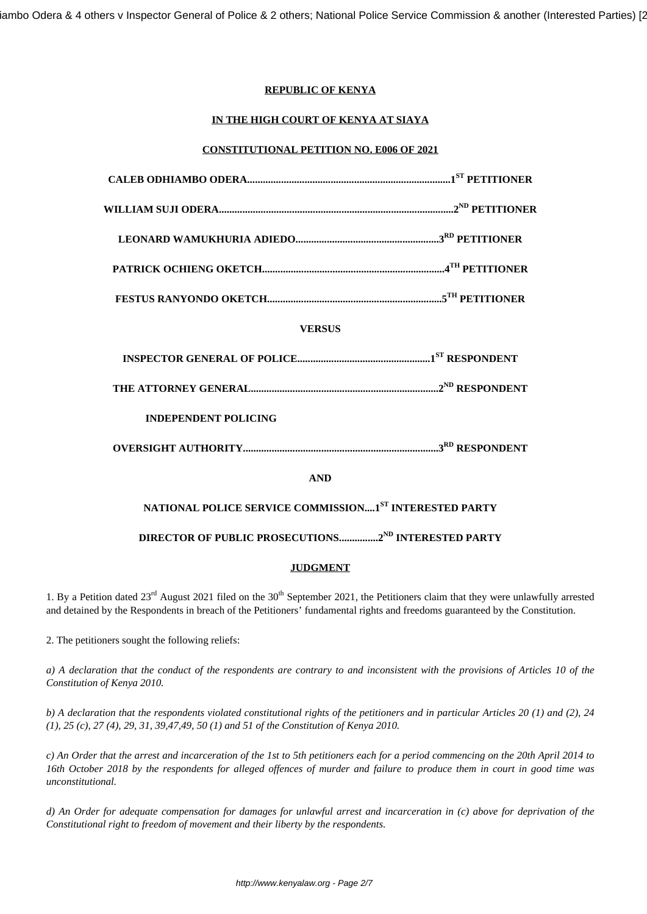# **REPUBLIC OF KENYA**

# **IN THE HIGH COURT OF KENYA AT SIAYA**

## **CONSTITUTIONAL PETITION NO. E006 OF 2021**

| <b>VERSUS</b>                                                   |  |
|-----------------------------------------------------------------|--|
|                                                                 |  |
|                                                                 |  |
| <b>INDEPENDENT POLICING</b>                                     |  |
|                                                                 |  |
| <b>AND</b>                                                      |  |
| NATIONAL POLICE SERVICE COMMISSION1ST INTERESTED PARTY          |  |
| DIRECTOR OF PUBLIC PROSECUTIONS2 <sup>ND</sup> INTERESTED PARTY |  |
| <b>JUDGMENT</b>                                                 |  |

1. By a Petition dated  $23^{rd}$  August 2021 filed on the  $30^{th}$  September 2021, the Petitioners claim that they were unlawfully arrested and detained by the Respondents in breach of the Petitioners' fundamental rights and freedoms guaranteed by the Constitution.

2. The petitioners sought the following reliefs:

*a) A declaration that the conduct of the respondents are contrary to and inconsistent with the provisions of Articles 10 of the Constitution of Kenya 2010.*

*b) A declaration that the respondents violated constitutional rights of the petitioners and in particular Articles 20 (1) and (2), 24 (1), 25 (c), 27 (4), 29, 31, 39,47,49, 50 (1) and 51 of the Constitution of Kenya 2010.*

*c) An Order that the arrest and incarceration of the 1st to 5th petitioners each for a period commencing on the 20th April 2014 to 16th October 2018 by the respondents for alleged offences of murder and failure to produce them in court in good time was unconstitutional.*

*d) An Order for adequate compensation for damages for unlawful arrest and incarceration in (c) above for deprivation of the Constitutional right to freedom of movement and their liberty by the respondents.*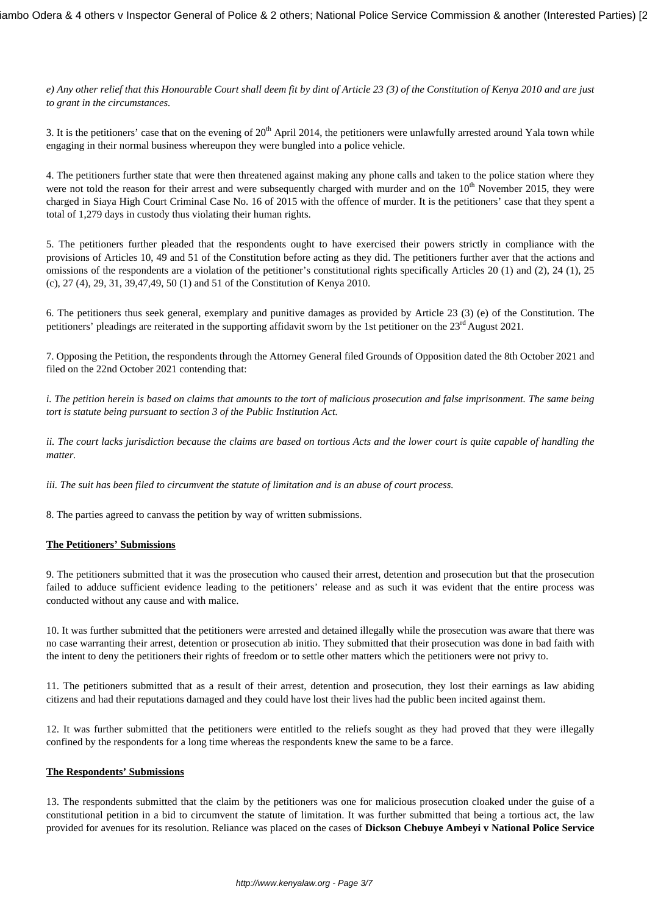*e) Any other relief that this Honourable Court shall deem fit by dint of Article 23 (3) of the Constitution of Kenya 2010 and are just to grant in the circumstances.*

3. It is the petitioners' case that on the evening of  $20<sup>th</sup>$  April 2014, the petitioners were unlawfully arrested around Yala town while engaging in their normal business whereupon they were bungled into a police vehicle.

4. The petitioners further state that were then threatened against making any phone calls and taken to the police station where they were not told the reason for their arrest and were subsequently charged with murder and on the  $10<sup>th</sup>$  November 2015, they were charged in Siaya High Court Criminal Case No. 16 of 2015 with the offence of murder. It is the petitioners' case that they spent a total of 1,279 days in custody thus violating their human rights.

5. The petitioners further pleaded that the respondents ought to have exercised their powers strictly in compliance with the provisions of Articles 10, 49 and 51 of the Constitution before acting as they did. The petitioners further aver that the actions and omissions of the respondents are a violation of the petitioner's constitutional rights specifically Articles 20 (1) and (2), 24 (1), 25 (c), 27 (4), 29, 31, 39,47,49, 50 (1) and 51 of the Constitution of Kenya 2010.

6. The petitioners thus seek general, exemplary and punitive damages as provided by Article 23 (3) (e) of the Constitution. The petitioners' pleadings are reiterated in the supporting affidavit sworn by the 1st petitioner on the 23<sup>rd</sup> August 2021.

7. Opposing the Petition, the respondents through the Attorney General filed Grounds of Opposition dated the 8th October 2021 and filed on the 22nd October 2021 contending that:

*i. The petition herein is based on claims that amounts to the tort of malicious prosecution and false imprisonment. The same being tort is statute being pursuant to section 3 of the Public Institution Act.*

*ii. The court lacks jurisdiction because the claims are based on tortious Acts and the lower court is quite capable of handling the matter.*

*iii. The suit has been filed to circumvent the statute of limitation and is an abuse of court process.*

8. The parties agreed to canvass the petition by way of written submissions.

### **The Petitioners' Submissions**

9. The petitioners submitted that it was the prosecution who caused their arrest, detention and prosecution but that the prosecution failed to adduce sufficient evidence leading to the petitioners' release and as such it was evident that the entire process was conducted without any cause and with malice.

10. It was further submitted that the petitioners were arrested and detained illegally while the prosecution was aware that there was no case warranting their arrest, detention or prosecution ab initio. They submitted that their prosecution was done in bad faith with the intent to deny the petitioners their rights of freedom or to settle other matters which the petitioners were not privy to.

11. The petitioners submitted that as a result of their arrest, detention and prosecution, they lost their earnings as law abiding citizens and had their reputations damaged and they could have lost their lives had the public been incited against them.

12. It was further submitted that the petitioners were entitled to the reliefs sought as they had proved that they were illegally confined by the respondents for a long time whereas the respondents knew the same to be a farce.

#### **The Respondents' Submissions**

13. The respondents submitted that the claim by the petitioners was one for malicious prosecution cloaked under the guise of a constitutional petition in a bid to circumvent the statute of limitation. It was further submitted that being a tortious act, the law provided for avenues for its resolution. Reliance was placed on the cases of **Dickson Chebuye Ambeyi v National Police Service**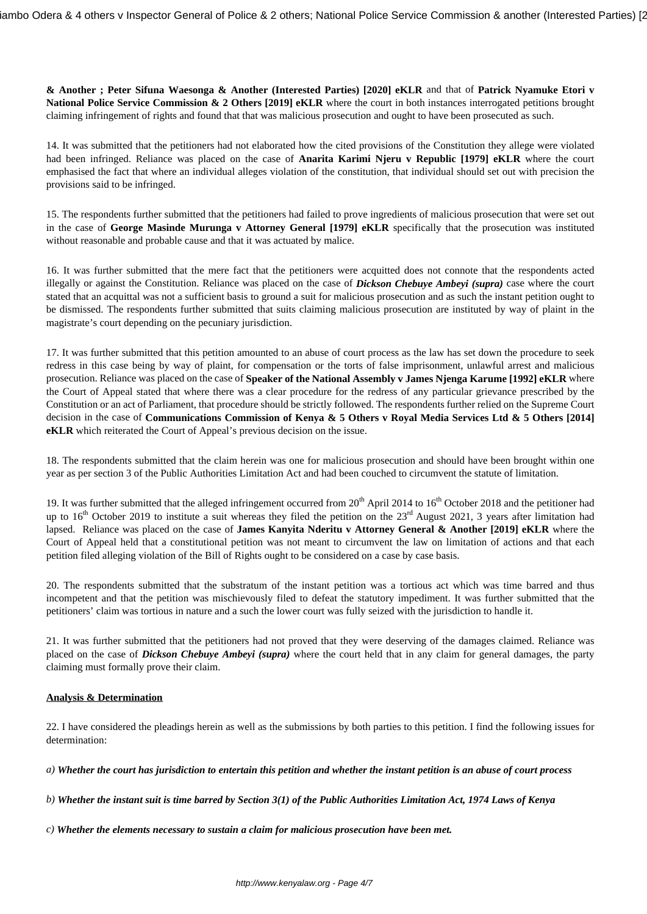**& Another ; Peter Sifuna Waesonga & Another (Interested Parties) [2020] eKLR** and that of **Patrick Nyamuke Etori v National Police Service Commission & 2 Others [2019] eKLR** where the court in both instances interrogated petitions brought claiming infringement of rights and found that that was malicious prosecution and ought to have been prosecuted as such.

14. It was submitted that the petitioners had not elaborated how the cited provisions of the Constitution they allege were violated had been infringed. Reliance was placed on the case of **Anarita Karimi Njeru v Republic [1979] eKLR** where the court emphasised the fact that where an individual alleges violation of the constitution, that individual should set out with precision the provisions said to be infringed.

15. The respondents further submitted that the petitioners had failed to prove ingredients of malicious prosecution that were set out in the case of **George Masinde Murunga v Attorney General [1979] eKLR** specifically that the prosecution was instituted without reasonable and probable cause and that it was actuated by malice.

16. It was further submitted that the mere fact that the petitioners were acquitted does not connote that the respondents acted illegally or against the Constitution. Reliance was placed on the case of *Dickson Chebuye Ambeyi (supra)* case where the court stated that an acquittal was not a sufficient basis to ground a suit for malicious prosecution and as such the instant petition ought to be dismissed. The respondents further submitted that suits claiming malicious prosecution are instituted by way of plaint in the magistrate's court depending on the pecuniary jurisdiction.

17. It was further submitted that this petition amounted to an abuse of court process as the law has set down the procedure to seek redress in this case being by way of plaint, for compensation or the torts of false imprisonment, unlawful arrest and malicious prosecution. Reliance was placed on the case of **Speaker of the National Assembly v James Njenga Karume [1992] eKLR** where the Court of Appeal stated that where there was a clear procedure for the redress of any particular grievance prescribed by the Constitution or an act of Parliament, that procedure should be strictly followed. The respondents further relied on the Supreme Court decision in the case of **Communications Commission of Kenya & 5 Others v Royal Media Services Ltd & 5 Others [2014] eKLR** which reiterated the Court of Appeal's previous decision on the issue.

18. The respondents submitted that the claim herein was one for malicious prosecution and should have been brought within one year as per section 3 of the Public Authorities Limitation Act and had been couched to circumvent the statute of limitation.

19. It was further submitted that the alleged infringement occurred from 20<sup>th</sup> April 2014 to 16<sup>th</sup> October 2018 and the petitioner had up to  $16<sup>th</sup>$  October 2019 to institute a suit whereas they filed the petition on the  $23<sup>rd</sup>$  August 2021, 3 years after limitation had lapsed. Reliance was placed on the case of **James Kanyita Nderitu v Attorney General & Another [2019] eKLR** where the Court of Appeal held that a constitutional petition was not meant to circumvent the law on limitation of actions and that each petition filed alleging violation of the Bill of Rights ought to be considered on a case by case basis.

20. The respondents submitted that the substratum of the instant petition was a tortious act which was time barred and thus incompetent and that the petition was mischievously filed to defeat the statutory impediment. It was further submitted that the petitioners' claim was tortious in nature and a such the lower court was fully seized with the jurisdiction to handle it.

21. It was further submitted that the petitioners had not proved that they were deserving of the damages claimed. Reliance was placed on the case of *Dickson Chebuye Ambeyi (supra)* where the court held that in any claim for general damages, the party claiming must formally prove their claim.

### **Analysis & Determination**

22. I have considered the pleadings herein as well as the submissions by both parties to this petition. I find the following issues for determination:

*a) Whether the court has jurisdiction to entertain this petition and whether the instant petition is an abuse of court process* 

*b) Whether the instant suit is time barred by Section 3(1) of the Public Authorities Limitation Act, 1974 Laws of Kenya*

*c) Whether the elements necessary to sustain a claim for malicious prosecution have been met.*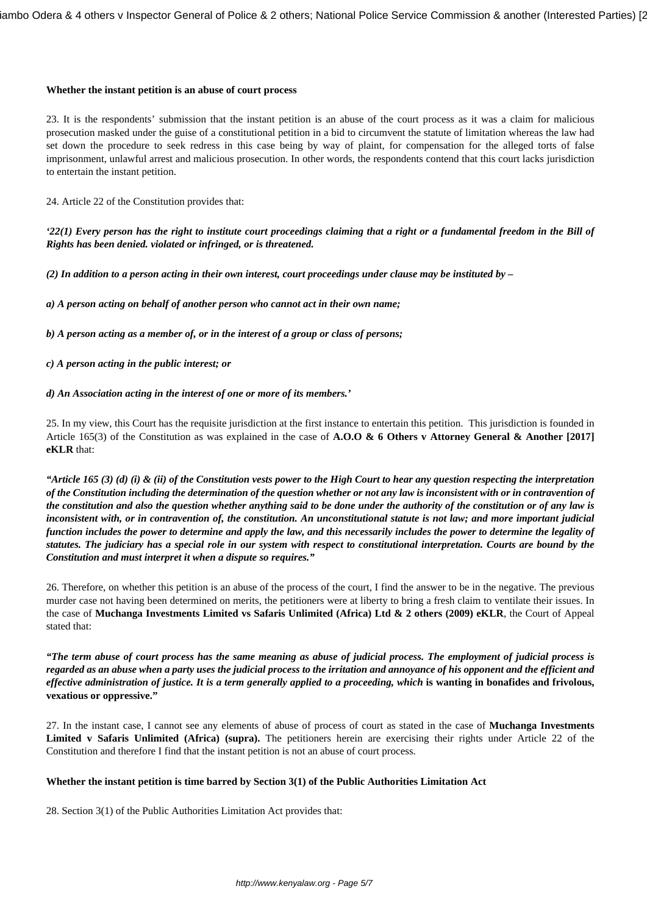#### **Whether the instant petition is an abuse of court process**

23. It is the respondents' submission that the instant petition is an abuse of the court process as it was a claim for malicious prosecution masked under the guise of a constitutional petition in a bid to circumvent the statute of limitation whereas the law had set down the procedure to seek redress in this case being by way of plaint, for compensation for the alleged torts of false imprisonment, unlawful arrest and malicious prosecution. In other words, the respondents contend that this court lacks jurisdiction to entertain the instant petition.

24. Article 22 of the Constitution provides that:

*'22(1) Every person has the right to institute court proceedings claiming that a right or a fundamental freedom in the Bill of Rights has been denied. violated or infringed, or is threatened.*

*(2) In addition to a person acting in their own interest, court proceedings under clause may be instituted by –*

*a) A person acting on behalf of another person who cannot act in their own name;*

*b) A person acting as a member of, or in the interest of a group or class of persons;* 

*c) A person acting in the public interest; or* 

### *d) An Association acting in the interest of one or more of its members.'*

25. In my view, this Court has the requisite jurisdiction at the first instance to entertain this petition. This jurisdiction is founded in Article 165(3) of the Constitution as was explained in the case of **A.O.O & 6 Others v Attorney General & Another [2017] eKLR** that:

*"Article 165 (3) (d) (i) & (ii) of the Constitution vests power to the High Court to hear any question respecting the interpretation of the Constitution including the determination of the question whether or not any law is inconsistent with or in contravention of the constitution and also the question whether anything said to be done under the authority of the constitution or of any law is inconsistent with, or in contravention of, the constitution. An unconstitutional statute is not law; and more important judicial function includes the power to determine and apply the law, and this necessarily includes the power to determine the legality of statutes. The judiciary has a special role in our system with respect to constitutional interpretation. Courts are bound by the Constitution and must interpret it when a dispute so requires."*

26. Therefore, on whether this petition is an abuse of the process of the court, I find the answer to be in the negative. The previous murder case not having been determined on merits, the petitioners were at liberty to bring a fresh claim to ventilate their issues. In the case of **Muchanga Investments Limited vs Safaris Unlimited (Africa) Ltd & 2 others (2009) eKLR**, the Court of Appeal stated that:

*"The term abuse of court process has the same meaning as abuse of judicial process. The employment of judicial process is regarded as an abuse when a party uses the judicial process to the irritation and annoyance of his opponent and the efficient and effective administration of justice. It is a term generally applied to a proceeding, which* **is wanting in bonafides and frivolous, vexatious or oppressive."**

27. In the instant case, I cannot see any elements of abuse of process of court as stated in the case of **Muchanga Investments Limited v Safaris Unlimited (Africa) (supra).** The petitioners herein are exercising their rights under Article 22 of the Constitution and therefore I find that the instant petition is not an abuse of court process.

### **Whether the instant petition is time barred by Section 3(1) of the Public Authorities Limitation Act**

28. Section 3(1) of the Public Authorities Limitation Act provides that: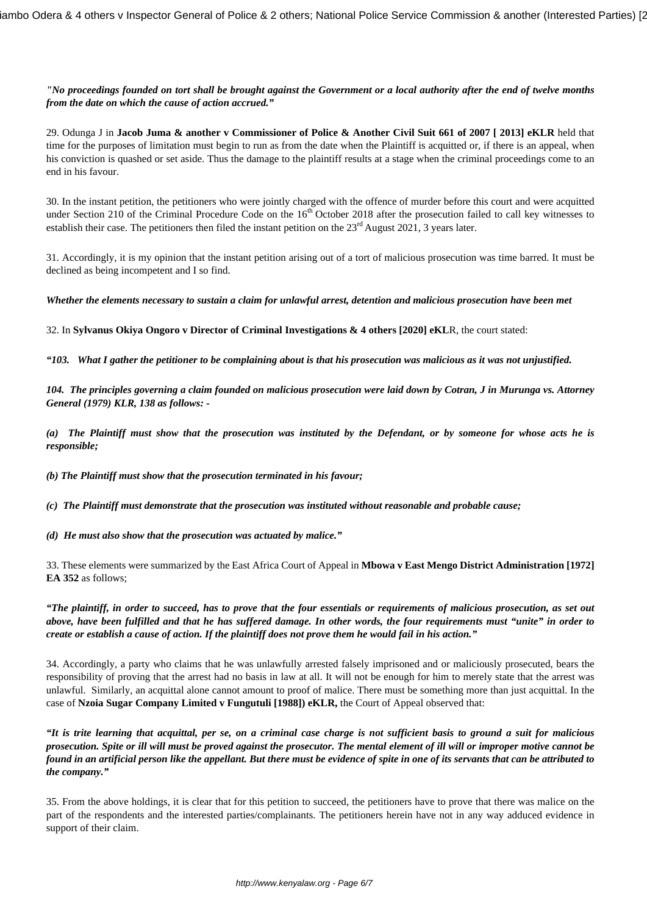*"No proceedings founded on tort shall be brought against the Government or a local authority after the end of twelve months from the date on which the cause of action accrued."*

29. Odunga J in **Jacob Juma & another v Commissioner of Police & Another Civil Suit 661 of 2007 [ 2013] eKLR** held that time for the purposes of limitation must begin to run as from the date when the Plaintiff is acquitted or, if there is an appeal, when his conviction is quashed or set aside. Thus the damage to the plaintiff results at a stage when the criminal proceedings come to an end in his favour.

30. In the instant petition, the petitioners who were jointly charged with the offence of murder before this court and were acquitted under Section 210 of the Criminal Procedure Code on the 16<sup>th</sup> October 2018 after the prosecution failed to call key witnesses to establish their case. The petitioners then filed the instant petition on the  $23<sup>rd</sup>$  August 2021, 3 years later.

31. Accordingly, it is my opinion that the instant petition arising out of a tort of malicious prosecution was time barred. It must be declined as being incompetent and I so find.

*Whether the elements necessary to sustain a claim for unlawful arrest, detention and malicious prosecution have been met*

32. In **Sylvanus Okiya Ongoro v Director of Criminal Investigations & 4 others [2020] eKL**R, the court stated:

*"103. What I gather the petitioner to be complaining about is that his prosecution was malicious as it was not unjustified.*

*104. The principles governing a claim founded on malicious prosecution were laid down by Cotran, J in Murunga vs. Attorney General (1979) KLR, 138 as follows: -*

*(a) The Plaintiff must show that the prosecution was instituted by the Defendant, or by someone for whose acts he is responsible;*

*(b) The Plaintiff must show that the prosecution terminated in his favour;*

*(c) The Plaintiff must demonstrate that the prosecution was instituted without reasonable and probable cause;* 

*(d) He must also show that the prosecution was actuated by malice."*

33. These elements were summarized by the East Africa Court of Appeal in **Mbowa v East Mengo District Administration [1972] EA 352** as follows;

*"The plaintiff, in order to succeed, has to prove that the four essentials or requirements of malicious prosecution, as set out above, have been fulfilled and that he has suffered damage. In other words, the four requirements must "unite" in order to create or establish a cause of action. If the plaintiff does not prove them he would fail in his action."*

34. Accordingly, a party who claims that he was unlawfully arrested falsely imprisoned and or maliciously prosecuted, bears the responsibility of proving that the arrest had no basis in law at all. It will not be enough for him to merely state that the arrest was unlawful. Similarly, an acquittal alone cannot amount to proof of malice. There must be something more than just acquittal. In the case of **Nzoia Sugar Company Limited v Fungutuli [1988]) eKLR,** the Court of Appeal observed that:

*"It is trite learning that acquittal, per se, on a criminal case charge is not sufficient basis to ground a suit for malicious prosecution. Spite or ill will must be proved against the prosecutor. The mental element of ill will or improper motive cannot be found in an artificial person like the appellant. But there must be evidence of spite in one of its servants that can be attributed to the company."*

35. From the above holdings, it is clear that for this petition to succeed, the petitioners have to prove that there was malice on the part of the respondents and the interested parties/complainants. The petitioners herein have not in any way adduced evidence in support of their claim.